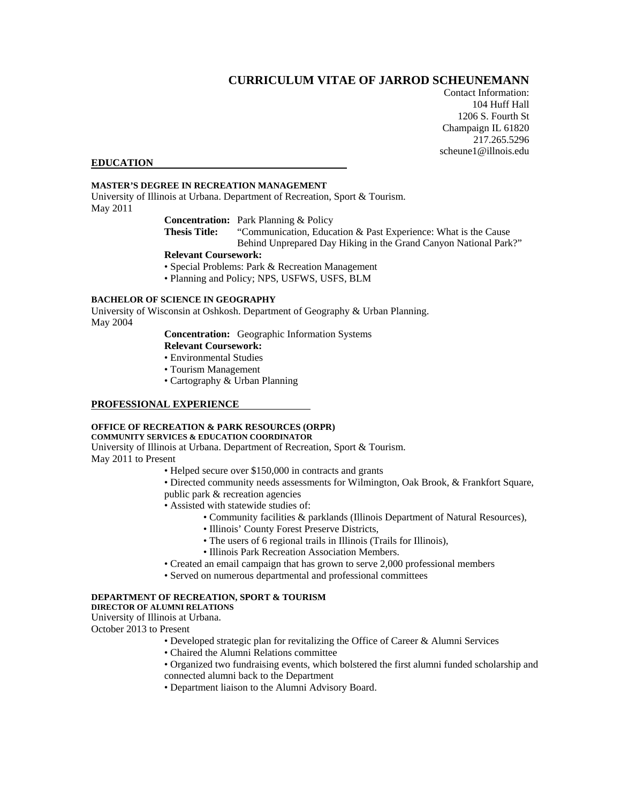# **CURRICULUM VITAE OF JARROD SCHEUNEMANN**

Contact Information: 104 Huff Hall 1206 S. Fourth St Champaign IL 61820 217.265.5296 scheune1@illnois.edu

#### **EDUCATION**

## **MASTER'S DEGREE IN RECREATION MANAGEMENT**

University of Illinois at Urbana. Department of Recreation, Sport & Tourism. May 2011

**Concentration:** Park Planning & Policy

**Thesis Title:** "Communication, Education & Past Experience: What is the Cause Behind Unprepared Day Hiking in the Grand Canyon National Park?"

## **Relevant Coursework:**

- Special Problems: Park & Recreation Management
- Planning and Policy; NPS, USFWS, USFS, BLM

#### **BACHELOR OF SCIENCE IN GEOGRAPHY**

University of Wisconsin at Oshkosh. Department of Geography & Urban Planning. May 2004

**Concentration:** Geographic Information Systems

- **Relevant Coursework:**
- Environmental Studies
- Tourism Management
- Cartography & Urban Planning

#### **PROFESSIONAL EXPERIENCE**

#### **OFFICE OF RECREATION & PARK RESOURCES (ORPR)**

## **COMMUNITY SERVICES & EDUCATION COORDINATOR**

University of Illinois at Urbana. Department of Recreation, Sport & Tourism. May 2011 to Present

• Helped secure over \$150,000 in contracts and grants

• Directed community needs assessments for Wilmington, Oak Brook, & Frankfort Square, public park & recreation agencies

- Assisted with statewide studies of:
	- Community facilities & parklands (Illinois Department of Natural Resources),
	- Illinois' County Forest Preserve Districts,
	- The users of 6 regional trails in Illinois (Trails for Illinois),
	- Illinois Park Recreation Association Members.
- Created an email campaign that has grown to serve 2,000 professional members
- Served on numerous departmental and professional committees

# **DEPARTMENT OF RECREATION, SPORT & TOURISM**

# **DIRECTOR OF ALUMNI RELATIONS**

University of Illinois at Urbana.

October 2013 to Present

- Developed strategic plan for revitalizing the Office of Career & Alumni Services
- Chaired the Alumni Relations committee
- Organized two fundraising events, which bolstered the first alumni funded scholarship and connected alumni back to the Department
- Department liaison to the Alumni Advisory Board.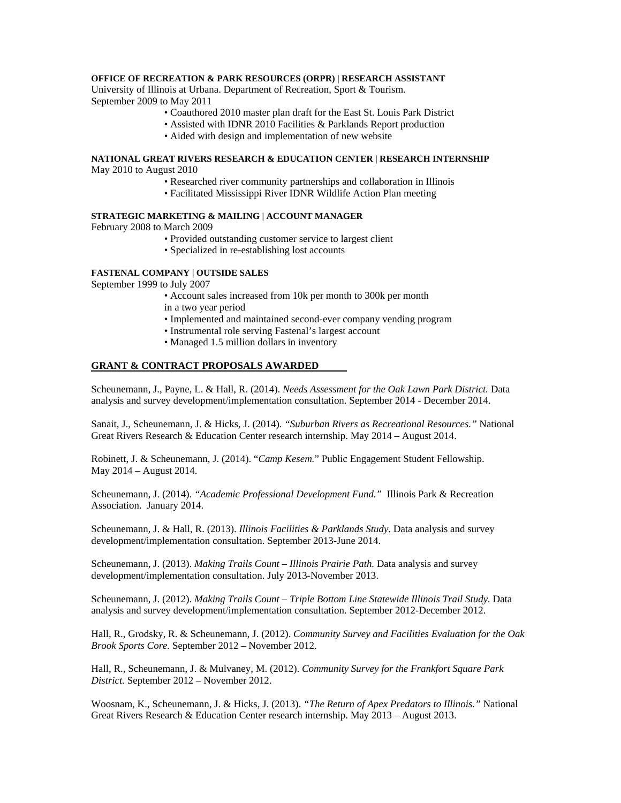## **OFFICE OF RECREATION & PARK RESOURCES (ORPR) | RESEARCH ASSISTANT**

University of Illinois at Urbana. Department of Recreation, Sport & Tourism. September 2009 to May 2011

- Coauthored 2010 master plan draft for the East St. Louis Park District
- Assisted with IDNR 2010 Facilities & Parklands Report production
- Aided with design and implementation of new website

## **NATIONAL GREAT RIVERS RESEARCH & EDUCATION CENTER | RESEARCH INTERNSHIP**  May 2010 to August 2010

- Researched river community partnerships and collaboration in Illinois
- Facilitated Mississippi River IDNR Wildlife Action Plan meeting

### **STRATEGIC MARKETING & MAILING | ACCOUNT MANAGER**

February 2008 to March 2009

- Provided outstanding customer service to largest client
- Specialized in re-establishing lost accounts

## **FASTENAL COMPANY | OUTSIDE SALES**

September 1999 to July 2007

- Account sales increased from 10k per month to 300k per month in a two year period
- Implemented and maintained second-ever company vending program
- Instrumental role serving Fastenal's largest account
- Managed 1.5 million dollars in inventory

#### **GRANT & CONTRACT PROPOSALS AWARDED**

Scheunemann, J., Payne, L. & Hall, R. (2014). *Needs Assessment for the Oak Lawn Park District.* Data analysis and survey development/implementation consultation. September 2014 - December 2014.

Sanait, J., Scheunemann, J. & Hicks, J. (2014). *"Suburban Rivers as Recreational Resources."* National Great Rivers Research & Education Center research internship. May 2014 – August 2014.

Robinett, J. & Scheunemann, J. (2014). "*Camp Kesem.*" Public Engagement Student Fellowship. May 2014 – August 2014.

Scheunemann, J. (2014). *"Academic Professional Development Fund."* Illinois Park & Recreation Association. January 2014.

Scheunemann, J. & Hall, R. (2013). *Illinois Facilities & Parklands Study.* Data analysis and survey development/implementation consultation. September 2013-June 2014.

Scheunemann, J. (2013). *Making Trails Count – Illinois Prairie Path.* Data analysis and survey development/implementation consultation. July 2013-November 2013.

Scheunemann, J. (2012). *Making Trails Count – Triple Bottom Line Statewide Illinois Trail Study*. Data analysis and survey development/implementation consultation. September 2012-December 2012.

Hall, R., Grodsky, R. & Scheunemann, J. (2012). *Community Survey and Facilities Evaluation for the Oak Brook Sports Core.* September 2012 – November 2012.

Hall, R., Scheunemann, J. & Mulvaney, M. (2012). *Community Survey for the Frankfort Square Park District.* September 2012 – November 2012.

Woosnam, K., Scheunemann, J. & Hicks, J. (2013). *"The Return of Apex Predators to Illinois."* National Great Rivers Research & Education Center research internship. May 2013 – August 2013.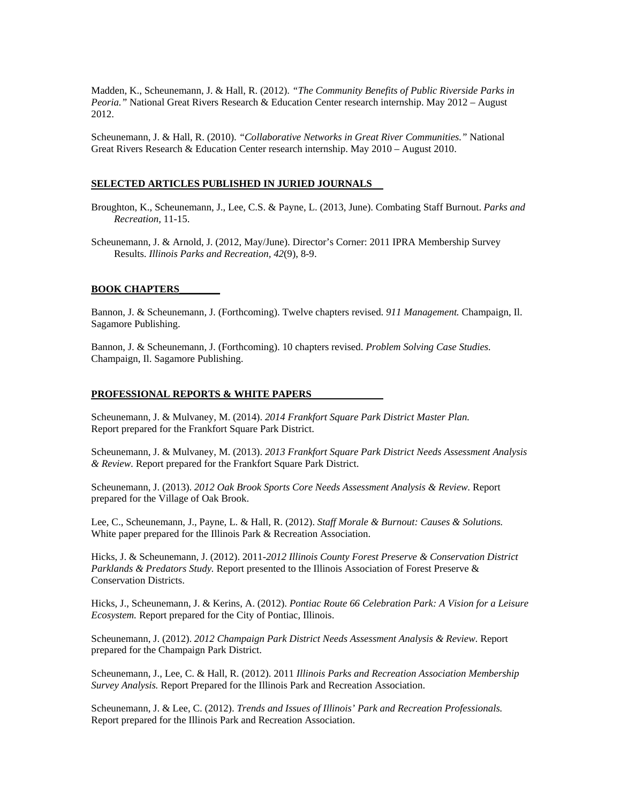Madden, K., Scheunemann, J. & Hall, R. (2012). *"The Community Benefits of Public Riverside Parks in Peoria."* National Great Rivers Research & Education Center research internship. May 2012 – August 2012.

Scheunemann, J. & Hall, R. (2010). *"Collaborative Networks in Great River Communities."* National Great Rivers Research & Education Center research internship. May 2010 – August 2010.

#### **SELECTED ARTICLES PUBLISHED IN JURIED JOURNALS**

- Broughton, K., Scheunemann, J., Lee, C.S. & Payne, L. (2013, June). Combating Staff Burnout. *Parks and Recreation,* 11-15.
- Scheunemann, J. & Arnold, J. (2012, May/June). Director's Corner: 2011 IPRA Membership Survey Results. *Illinois Parks and Recreation, 42*(9), 8-9.

#### **BOOK CHAPTERS\_\_\_\_\_\_\_\_**

Bannon, J. & Scheunemann, J. (Forthcoming). Twelve chapters revised. *911 Management.* Champaign, Il. Sagamore Publishing.

Bannon, J. & Scheunemann, J. (Forthcoming). 10 chapters revised. *Problem Solving Case Studies.*  Champaign, Il. Sagamore Publishing.

#### **PROFESSIONAL REPORTS & WHITE PAPERS**

Scheunemann, J. & Mulvaney, M. (2014). *2014 Frankfort Square Park District Master Plan.*  Report prepared for the Frankfort Square Park District.

Scheunemann, J. & Mulvaney, M. (2013). *2013 Frankfort Square Park District Needs Assessment Analysis & Review.* Report prepared for the Frankfort Square Park District.

Scheunemann, J. (2013). *2012 Oak Brook Sports Core Needs Assessment Analysis & Review.* Report prepared for the Village of Oak Brook.

Lee, C., Scheunemann, J., Payne, L. & Hall, R. (2012). *Staff Morale & Burnout: Causes & Solutions.* White paper prepared for the Illinois Park & Recreation Association.

Hicks, J. & Scheunemann, J. (2012). 2011-*2012 Illinois County Forest Preserve & Conservation District Parklands & Predators Study.* Report presented to the Illinois Association of Forest Preserve & Conservation Districts.

Hicks, J., Scheunemann, J. & Kerins, A. (2012). *Pontiac Route 66 Celebration Park: A Vision for a Leisure Ecosystem.* Report prepared for the City of Pontiac, Illinois.

Scheunemann, J. (2012). *2012 Champaign Park District Needs Assessment Analysis & Review.* Report prepared for the Champaign Park District.

Scheunemann, J., Lee, C. & Hall, R. (2012). 2011 *Illinois Parks and Recreation Association Membership Survey Analysis.* Report Prepared for the Illinois Park and Recreation Association.

Scheunemann, J. & Lee, C. (2012). *Trends and Issues of Illinois' Park and Recreation Professionals.*  Report prepared for the Illinois Park and Recreation Association.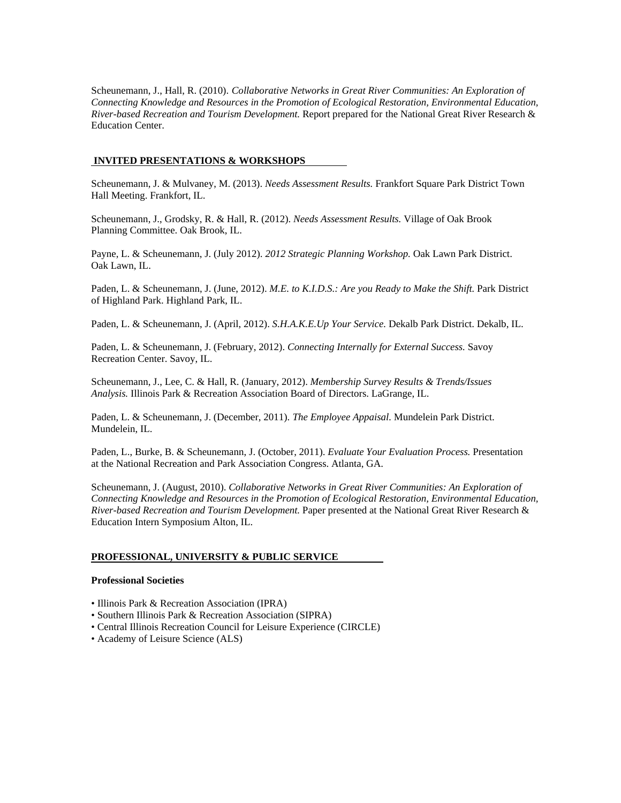Scheunemann, J., Hall, R. (2010). *Collaborative Networks in Great River Communities: An Exploration of Connecting Knowledge and Resources in the Promotion of Ecological Restoration, Environmental Education, River-based Recreation and Tourism Development.* Report prepared for the National Great River Research & Education Center.

## **INVITED PRESENTATIONS & WORKSHOPS**

Scheunemann, J. & Mulvaney, M. (2013). *Needs Assessment Results.* Frankfort Square Park District Town Hall Meeting. Frankfort, IL.

Scheunemann, J., Grodsky, R. & Hall, R. (2012). *Needs Assessment Results.* Village of Oak Brook Planning Committee. Oak Brook, IL.

Payne, L. & Scheunemann, J. (July 2012). *2012 Strategic Planning Workshop.* Oak Lawn Park District. Oak Lawn, IL.

Paden, L. & Scheunemann, J. (June, 2012). *M.E. to K.I.D.S.: Are you Ready to Make the Shift.* Park District of Highland Park. Highland Park, IL.

Paden, L. & Scheunemann, J. (April, 2012). *S.H.A.K.E.Up Your Service.* Dekalb Park District. Dekalb, IL.

Paden, L. & Scheunemann, J. (February, 2012). *Connecting Internally for External Success.* Savoy Recreation Center. Savoy, IL.

Scheunemann, J., Lee, C. & Hall, R. (January, 2012). *Membership Survey Results & Trends/Issues Analysis.* Illinois Park & Recreation Association Board of Directors. LaGrange, IL.

Paden, L. & Scheunemann, J. (December, 2011). *The Employee Appaisal.* Mundelein Park District. Mundelein, IL.

Paden, L., Burke, B. & Scheunemann, J. (October, 2011). *Evaluate Your Evaluation Process.* Presentation at the National Recreation and Park Association Congress. Atlanta, GA.

Scheunemann, J. (August, 2010). *Collaborative Networks in Great River Communities: An Exploration of Connecting Knowledge and Resources in the Promotion of Ecological Restoration, Environmental Education, River-based Recreation and Tourism Development.* Paper presented at the National Great River Research & Education Intern Symposium Alton, IL.

## **PROFESSIONAL, UNIVERSITY & PUBLIC SERVICE**

#### **Professional Societies**

- Illinois Park & Recreation Association (IPRA)
- Southern Illinois Park & Recreation Association (SIPRA)
- Central Illinois Recreation Council for Leisure Experience (CIRCLE)
- Academy of Leisure Science (ALS)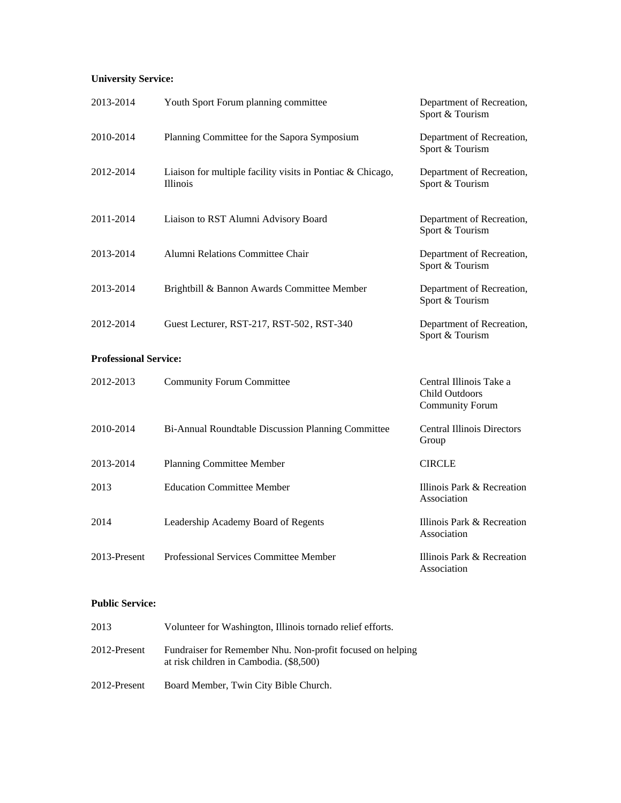# **University Service:**

| 2013-2014                    | Youth Sport Forum planning committee                                          | Department of Recreation,<br>Sport & Tourism                        |  |
|------------------------------|-------------------------------------------------------------------------------|---------------------------------------------------------------------|--|
| 2010-2014                    | Planning Committee for the Sapora Symposium                                   | Department of Recreation,<br>Sport & Tourism                        |  |
| 2012-2014                    | Liaison for multiple facility visits in Pontiac & Chicago,<br><i>Illinois</i> | Department of Recreation,<br>Sport & Tourism                        |  |
| 2011-2014                    | Liaison to RST Alumni Advisory Board                                          | Department of Recreation,<br>Sport & Tourism                        |  |
| 2013-2014                    | Alumni Relations Committee Chair                                              | Department of Recreation,<br>Sport & Tourism                        |  |
| 2013-2014                    | Brightbill & Bannon Awards Committee Member                                   | Department of Recreation,<br>Sport & Tourism                        |  |
| 2012-2014                    | Guest Lecturer, RST-217, RST-502, RST-340                                     | Department of Recreation,<br>Sport & Tourism                        |  |
| <b>Professional Service:</b> |                                                                               |                                                                     |  |
| 2012-2013                    | <b>Community Forum Committee</b>                                              | Central Illinois Take a<br>Child Outdoors<br><b>Community Forum</b> |  |
| 2010-2014                    | Bi-Annual Roundtable Discussion Planning Committee                            | <b>Central Illinois Directors</b><br>Group                          |  |
| 2013-2014                    | Planning Committee Member                                                     | <b>CIRCLE</b>                                                       |  |
| 2013                         | <b>Education Committee Member</b>                                             | Illinois Park & Recreation<br>Association                           |  |
| 2014                         | Leadership Academy Board of Regents                                           | Illinois Park & Recreation<br>Association                           |  |
| 2013-Present                 | Professional Services Committee Member                                        | Illinois Park & Recreation<br>Association                           |  |

## **Public Service:**

| 2013         | Volunteer for Washington, Illinois tornado relief efforts.                                            |
|--------------|-------------------------------------------------------------------------------------------------------|
| 2012-Present | Fundraiser for Remember Nhu. Non-profit focused on helping<br>at risk children in Cambodia. (\$8,500) |
| 2012-Present | Board Member, Twin City Bible Church.                                                                 |